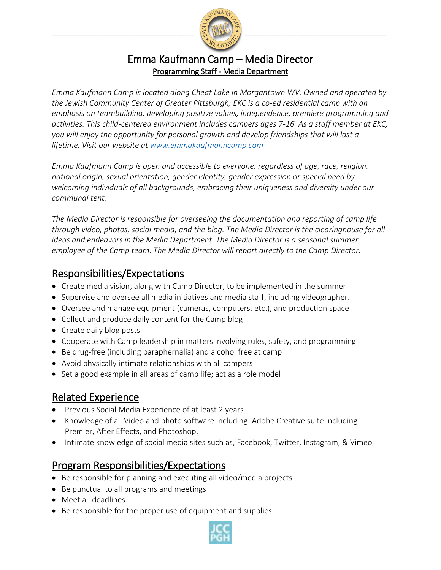

#### Emma Kaufmann Camp – Media Director Programming Staff - Media Department

*Emma Kaufmann Camp is located along Cheat Lake in Morgantown WV. Owned and operated by the Jewish Community Center of Greater Pittsburgh, EKC is a co-ed residential camp with an emphasis on teambuilding, developing positive values, independence, premiere programming and activities. This child-centered environment includes campers ages 7-16. As a staff member at EKC, you will enjoy the opportunity for personal growth and develop friendships that will last a lifetime. Visit our website at [www.emmakaufmanncamp.com](http://www.emmakaufmanncamp.com/)*

*Emma Kaufmann Camp is open and accessible to everyone, regardless of age, race, religion, national origin, sexual orientation, gender identity, gender expression or special need by welcoming individuals of all backgrounds, embracing their uniqueness and diversity under our communal tent.*

*The Media Director is responsible for overseeing the documentation and reporting of camp life through video, photos, social media, and the blog. The Media Director is the clearinghouse for all ideas and endeavors in the Media Department. The Media Director is a seasonal summer employee of the Camp team. The Media Director will report directly to the Camp Director.* 

#### Responsibilities/Expectations

- Create media vision, along with Camp Director, to be implemented in the summer
- Supervise and oversee all media initiatives and media staff, including videographer.
- Oversee and manage equipment (cameras, computers, etc.), and production space
- Collect and produce daily content for the Camp blog
- Create daily blog posts
- Cooperate with Camp leadership in matters involving rules, safety, and programming
- Be drug-free (including paraphernalia) and alcohol free at camp
- Avoid physically intimate relationships with all campers
- Set a good example in all areas of camp life; act as a role model

## Related Experience

- Previous Social Media Experience of at least 2 years
- Knowledge of all Video and photo software including: Adobe Creative suite including Premier, After Effects, and Photoshop.
- Intimate knowledge of social media sites such as, Facebook, Twitter, Instagram, & Vimeo

## Program Responsibilities/Expectations

- Be responsible for planning and executing all video/media projects
- Be punctual to all programs and meetings
- Meet all deadlines
- Be responsible for the proper use of equipment and supplies